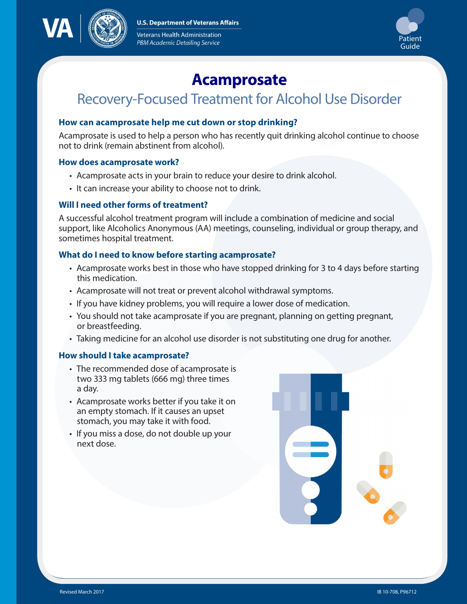**U.S. Department of Veterans Affairs** 



Veterans Health Administration PBM Academic Detailing Service



# **Acamprosate**

# Recovery-Focused Treatment for Alcohol Use Disorder

# **How can acamprosate help me cut down or stop drinking?**

Acamprosate is used to help a person who has recently quit drinking alcohol continue to choose not to drink (remain abstinent from alcohol).

#### **How does acamprosate work?**

- Acamprosate acts in your brain to reduce your desire to drink alcohol.
- It can increase your ability to choose not to drink.

## **Will I need other forms of treatment?**

A successful alcohol treatment program will include a combination of medicine and social support, like Alcoholics Anonymous (AA) meetings, counseling, individual or group therapy, and sometimes hospital treatment.

#### **What do I need to know before starting acamprosate?**

- Acamprosate works best in those who have stopped drinking for 3 to 4 days before starting this medication.
- Acamprosate will not treat or prevent alcohol withdrawal symptoms.
- If you have kidney problems, you will require a lower dose of medication.
- You should not take acamprosate if you are pregnant, planning on getting pregnant, or breastfeeding.
- Taking medicine for an alcohol use disorder is not substituting one drug for another.

#### **How should I take acamprosate?**

- The recommended dose of acamprosate is two 333 mg tablets (666 mg) three times a day.
- Acamprosate works better if you take it on an empty stomach. If it causes an upset stomach, you may take it with food.
- If you miss a dose, do not double up your next dose.